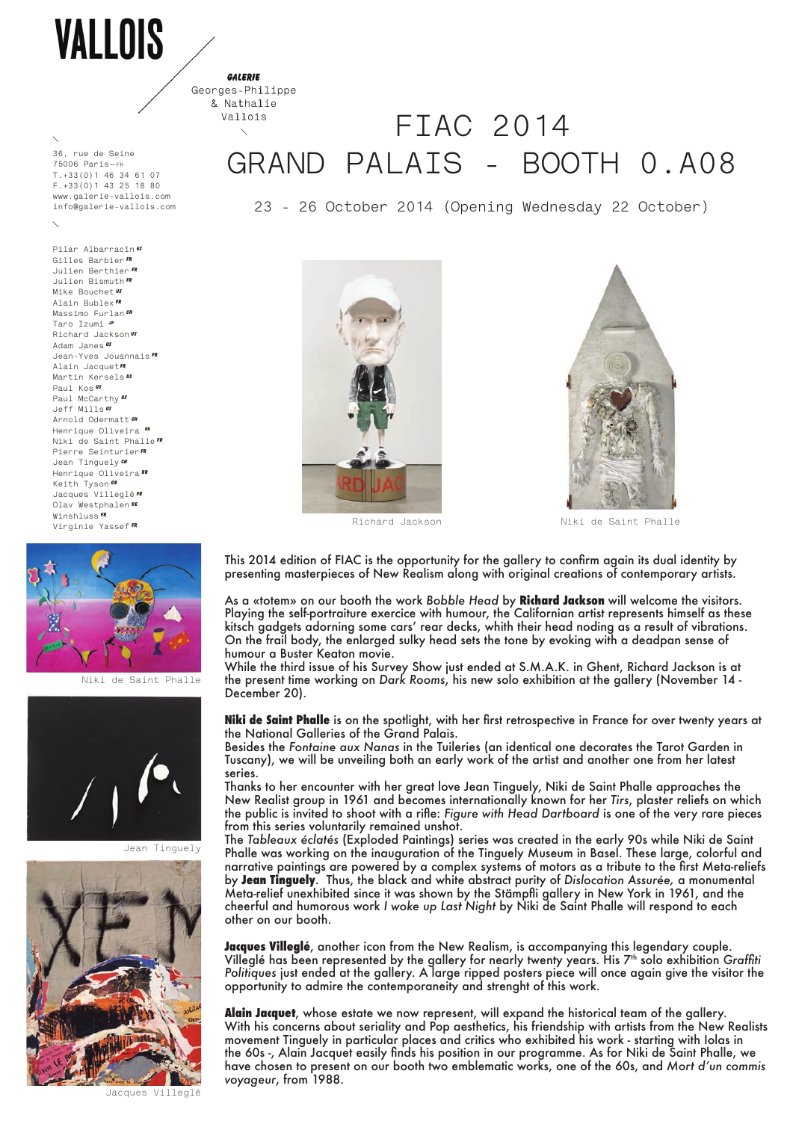VALLOIS

**GALEDIE** Georges-Philippe

## & Nathalie Vallois **FIAC 2014 GRAND PALAIS - BOOTH 0.A08**

**23 - 26 October 2014 (Opening Wednesday 22 October)**





Richard Jackson Niki de Saint Phalle

This 2014 edition of FIAC is the opportunity for the gallery to confirm again its dual identity by presenting masterpieces of New Realism along with original creations of contemporary artists.

As a «totem» on our booth the work *Bobble Head* by **Richard Jackson** will welcome the visitors. Playing the self-portraiture exercice with humour, the Californian artist represents himself as these kitsch gadgets adorning some cars' rear decks, whith their head noding as a result of vibrations. On the frail body, the enlarged sulky head sets the tone by evoking with a deadpan sense of humour a Buster Keaton movie.

While the third issue of his Survey Show just ended at S.M.A.K. in Ghent, Richard Jackson is at the present time working on *Dark Rooms*, his new solo exhibition at the gallery (November 14 - December 20).

**Niki de Saint Phalle** is on the spotlight, with her first retrospective in France for over twenty years at the National Galleries of the Grand Palais.

Besides the *Fontaine aux Nanas* in the Tuileries (an identical one decorates the Tarot Garden in Tuscany), we will be unveiling both an early work of the artist and another one from her latest series.

Thanks to her encounter with her great love Jean Tinguely, Niki de Saint Phalle approaches the New Realist group in 1961 and becomes internationally known for her *Tirs*, plaster reliefs on which the public is invited to shoot with a rifle: *Figure with Head Dartboard* is one of the very rare pieces from this series voluntarily remained unshot.

The *Tableaux éclatés* (Exploded Paintings) series was created in the early 90s while Niki de Saint Phalle was working on the inauguration of the Tinguely Museum in Basel. These large, colorful and narrative paintings are powered by a complex systems of motors as a tribute to the first Meta-reliefs by **Jean Tinguely**. Thus, the black and white abstract purity of *Dislocation Assurée,* a monumental Meta-relief unexhibited since it was shown by the Stämpfli gallery in New York in 1961, and the cheerful and humorous work *I woke up Last Night* by Niki de Saint Phalle will respond to each other on our booth.

**Jacques Villeglé**, another icon from the New Realism, is accompanying this legendary couple. Villeglé has been represented by the gallery for nearly twenty years. His 7th solo exhibition *Graffiti Politiques* just ended at the gallery. A large ripped posters piece will once again give the visitor the opportunity to admire the contemporaneity and strenght of this work.

**Alain Jacquet**, whose estate we now represent, will expand the historical team of the gallery. With his concerns about seriality and Pop aesthetics, his friendship with artists from the New Realists movement Tinguely in particular places and critics who exhibited his work - starting with Iolas in the 60s -, Alain Jacquet easily finds his position in our programme. As for Niki de Saint Phalle, we have chosen to present on our booth two emblematic works, one of the 60s, and *Mort d'un commis voyageur*, from 1988.

**36, rue de Seine 75006 Paris—fr T.+33(0)1 46 34 61 07 F.+33(0)1 43 25 18 80 www.galerie-vallois.com info@galerie-vallois.com**

**Pilar Albarracín es Gilles Barbier FR Julien Berthier FR Julien Bismuth FR Mike Bouchet Alain Bublex FR Massimo Furlan CH Taro Izumi JP Richard Jackson US Adam Janes US Jean-Yves Jouannais FR Alain JacquetFR Martin Kersels US Paul Kos US Paul McCarthy Us Jeff Mills US Arnold Odermatt CH Henrique Oliveira BR Niki de Saint Phalle FR Pierre SeinturierFR Jean Tinguely CH Henrique Oliveira BR Keith Tyson GB Jacques Villeglé FR Olav Westphalen De Winshluss FR Virginie Yassef FR**



Niki de Saint Phalle



Jean Tinguely



Jacques Villeglé